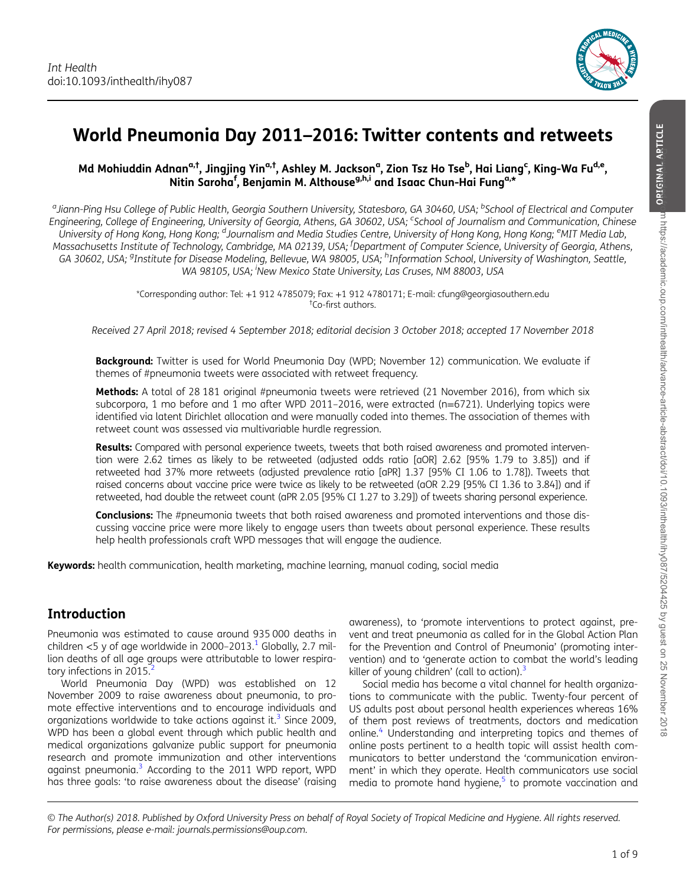

# World Pneumonia Day 2011–2016: Twitter contents and retweets

#### Md Mohiuddin Adnan<sup>a,†</sup>, Jingjing Yin<sup>a,†</sup>, Ashley M. Jackson<sup>a</sup>, Zion Tsz Ho Tse<sup>b</sup>, Hai Liang<sup>c</sup>, King-Wa Fu<sup>d,e</sup>, Nitin Saroha<sup>f</sup>, Benjamin M. Althouse<sup>g,h,i</sup> and Isaac Chun-Hai Fung<sup>a,\*</sup>

<sup>a</sup>Jiann-Ping Hsu College of Public Health, Georgia Southern University, Statesboro, GA 30460, USA; <sup>b</sup>School of Electrical and Computer Engineering, College of Engineering, University of Georgia, Athens, GA 30602, USA; <sup>c</sup>School of Journalism and Communication, Chinese University of Hong Kong, Hong Kong; <sup>d</sup>Journalism and Media Studies Centre, University of Hong Kong, Hong Kong; <sup>e</sup>MIT Media Lab, Massachusetts Institute of Technology, Cambridge, MA 02139, USA; <sup>f</sup> Department of Computer Science, University of Georgia, Athens, GA 30602, USA; <sup>g</sup>Institute for Disease Modeling, Bellevue, WA 98005, USA; <sup>h</sup>Information School, University of Washington, Seattle, WA 98105, USA; <sup>i</sup>New Mexico State University, Las Cruses, NM 88003, USA

> \*Corresponding author: Tel: +1 912 4785079; Fax: +1 912 4780171; E-mail: cfung@georgiasouthern.edu † Co-first authors.

Received 27 April 2018; revised 4 September 2018; editorial decision 3 October 2018; accepted 17 November 2018

**Background:** Twitter is used for World Pneumonia Day (WPD; November 12) communication. We evaluate if themes of #pneumonia tweets were associated with retweet frequency.

Methods: A total of 28 181 original #pneumonia tweets were retrieved (21 November 2016), from which six subcorpora, 1 mo before and 1 mo after WPD 2011-2016, were extracted (n=6721). Underlying topics were identified via latent Dirichlet allocation and were manually coded into themes. The association of themes with retweet count was assessed via multivariable hurdle regression.

Results: Compared with personal experience tweets, tweets that both raised awareness and promoted intervention were 2.62 times as likely to be retweeted (adjusted odds ratio [aOR] 2.62 [95% 1.79 to 3.85]) and if retweeted had 37% more retweets (adjusted prevalence ratio [aPR] 1.37 [95% CI 1.06 to 1.78]). Tweets that raised concerns about vaccine price were twice as likely to be retweeted (aOR 2.29 [95% CI 1.36 to 3.84]) and if retweeted, had double the retweet count (aPR 2.05 [95% CI 1.27 to 3.29]) of tweets sharing personal experience.

Conclusions: The #pneumonia tweets that both raised awareness and promoted interventions and those discussing vaccine price were more likely to engage users than tweets about personal experience. These results help health professionals craft WPD messages that will engage the audience.

Keywords: health communication, health marketing, machine learning, manual coding, social media

### Introduction

Pneumonia was estimated to cause around 935 000 deaths in children  $<$  5 y of age worldwide in 2000–2013.<sup>1</sup> Globally, 2.7 million deaths of all age groups were attributable to lower respiratory infections in  $2015$  $2015$ .

World Pneumonia Day (WPD) was established on 12 November 2009 to raise awareness about pneumonia, to promote effective interventions and to encourage individuals and organizations worldwide to take actions against it. $3$  Since 2009, WPD has been a global event through which public health and medical organizations galvanize public support for pneumonia research and promote immunization and other interventions against pneumonia.[3](#page-7-0) According to the 2011 WPD report, WPD has three goals: 'to raise awareness about the disease' (raising

awareness), to 'promote interventions to protect against, prevent and treat pneumonia as called for in the Global Action Plan for the Prevention and Control of Pneumonia' (promoting intervention) and to 'generate action to combat the world's leading killer of young children' (call to action). $3$ 

Social media has become a vital channel for health organizations to communicate with the public. Twenty-four percent of US adults post about personal health experiences whereas 16% of them post reviews of treatments, doctors and medication online.<sup>[4](#page-7-0)</sup> Understanding and interpreting topics and themes of online posts pertinent to a health topic will assist health communicators to better understand the 'communication environment' in which they operate. Health communicators use social media to promote hand hygiene, $5$  to promote vaccination and

© The Author(s) 2018. Published by Oxford University Press on behalf of Royal Society of Tropical Medicine and Hygiene. All rights reserved. For permissions, please e-mail: journals.permissions@oup.com.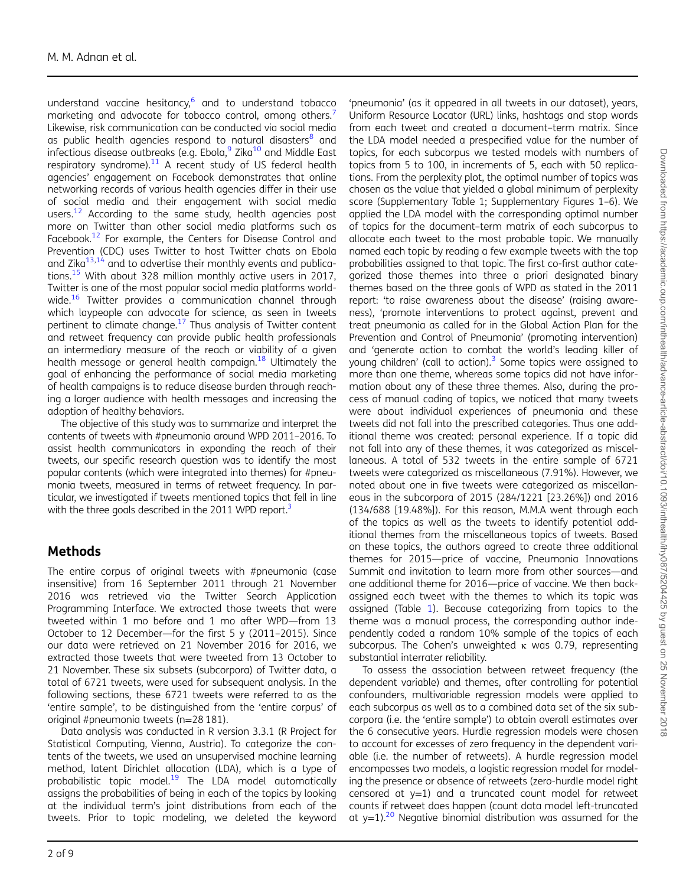understand vaccine hesitancy, $6$  and to understand tobacco marketing and advocate for tobacco control, among others.<sup>[7](#page-7-0)</sup> Likewise, risk communication can be conducted via social media as public health agencies respond to natural disasters<sup>[8](#page-7-0)</sup> and infectious disease outbreaks (e.g. Ebola, $9$  Zika<sup>[10](#page-7-0)</sup> and Middle East respiratory syndrome).<sup>[11](#page-7-0)</sup> A recent study of US federal health agencies' engagement on Facebook demonstrates that online networking records of various health agencies differ in their use of social media and their engagement with social media users.<sup>[12](#page-7-0)</sup> According to the same study, health agencies post more on Twitter than other social media platforms such as Facebook.<sup>[12](#page-7-0)</sup> For example, the Centers for Disease Control and Prevention (CDC) uses Twitter to host Twitter chats on Ebola and Zika $^{13,14}$  $^{13,14}$  $^{13,14}$  and to advertise their monthly events and publications.[15](#page-7-0) With about 328 million monthly active users in 2017, Twitter is one of the most popular social media platforms world-wide.<sup>[16](#page-7-0)</sup> Twitter provides a communication channel through which laypeople can advocate for science, as seen in tweets pertinent to climate change.<sup>[17](#page-7-0)</sup> Thus analysis of Twitter content and retweet frequency can provide public health professionals an intermediary measure of the reach or viability of a given health message or general health campaign.<sup>[18](#page-7-0)</sup> Ultimately the goal of enhancing the performance of social media marketing of health campaigns is to reduce disease burden through reaching a larger audience with health messages and increasing the adoption of healthy behaviors.

The objective of this study was to summarize and interpret the contents of tweets with #pneumonia around WPD 2011–2016. To assist health communicators in expanding the reach of their tweets, our specific research question was to identify the most popular contents (which were integrated into themes) for #pneumonia tweets, measured in terms of retweet frequency. In particular, we investigated if tweets mentioned topics that fell in line with the three goals described in the 2011 WPD report.<sup>3</sup>

## **Methods**

The entire corpus of original tweets with #pneumonia (case insensitive) from 16 September 2011 through 21 November 2016 was retrieved via the Twitter Search Application Programming Interface. We extracted those tweets that were tweeted within 1 mo before and 1 mo after WPD—from 13 October to 12 December—for the first 5 y (2011–2015). Since our data were retrieved on 21 November 2016 for 2016, we extracted those tweets that were tweeted from 13 October to 21 November. These six subsets (subcorpora) of Twitter data, a total of 6721 tweets, were used for subsequent analysis. In the following sections, these 6721 tweets were referred to as the 'entire sample', to be distinguished from the 'entire corpus' of original #pneumonia tweets (n=28 181).

Data analysis was conducted in R version 3.3.1 (R Project for Statistical Computing, Vienna, Austria). To categorize the contents of the tweets, we used an unsupervised machine learning method, latent Dirichlet allocation (LDA), which is a type of probabilistic topic model. $19$  The LDA model automatically assigns the probabilities of being in each of the topics by looking at the individual term's joint distributions from each of the tweets. Prior to topic modeling, we deleted the keyword

'pneumonia' (as it appeared in all tweets in our dataset), years, Uniform Resource Locator (URL) links, hashtags and stop words from each tweet and created a document–term matrix. Since the LDA model needed a prespecified value for the number of topics, for each subcorpus we tested models with numbers of topics from 5 to 100, in increments of 5, each with 50 replications. From the perplexity plot, the optimal number of topics was chosen as the value that yielded a global minimum of perplexity score (Supplementary Table 1; Supplementary Figures 1–6). We applied the LDA model with the corresponding optimal number of topics for the document–term matrix of each subcorpus to allocate each tweet to the most probable topic. We manually named each topic by reading a few example tweets with the top probabilities assigned to that topic. The first co-first author categorized those themes into three a priori designated binary themes based on the three goals of WPD as stated in the 2011 report: 'to raise awareness about the disease' (raising awareness), 'promote interventions to protect against, prevent and treat pneumonia as called for in the Global Action Plan for the Prevention and Control of Pneumonia' (promoting intervention) and 'generate action to combat the world's leading killer of young children' (call to action).<sup>[3](#page-7-0)</sup> Some topics were assigned to more than one theme, whereas some topics did not have information about any of these three themes. Also, during the process of manual coding of topics, we noticed that many tweets were about individual experiences of pneumonia and these tweets did not fall into the prescribed categories. Thus one additional theme was created: personal experience. If a topic did not fall into any of these themes, it was categorized as miscellaneous. A total of 532 tweets in the entire sample of 6721 tweets were categorized as miscellaneous (7.91%). However, we noted about one in five tweets were categorized as miscellaneous in the subcorpora of 2015 (284/1221 [23.26%]) and 2016 (134/688 [19.48%]). For this reason, M.M.A went through each of the topics as well as the tweets to identify potential additional themes from the miscellaneous topics of tweets. Based on these topics, the authors agreed to create three additional themes for 2015—price of vaccine, Pneumonia Innovations Summit and invitation to learn more from other sources—and one additional theme for 2016—price of vaccine. We then backassigned each tweet with the themes to which its topic was assigned (Table [1](#page-2-0)). Because categorizing from topics to the theme was a manual process, the corresponding author independently coded a random 10% sample of the topics of each subcorpus. The Cohen's unweighted  $\kappa$  was 0.79, representing substantial interrater reliability.

To assess the association between retweet frequency (the dependent variable) and themes, after controlling for potential confounders, multivariable regression models were applied to each subcorpus as well as to a combined data set of the six subcorpora (i.e. the 'entire sample') to obtain overall estimates over the 6 consecutive years. Hurdle regression models were chosen to account for excesses of zero frequency in the dependent variable (i.e. the number of retweets). A hurdle regression model encompasses two models, a logistic regression model for modeling the presence or absence of retweets (zero-hurdle model right censored at  $y=1$ ) and a truncated count model for retweet counts if retweet does happen (count data model left-truncated at  $y=1$ ).<sup>[20](#page-7-0)</sup> Negative binomial distribution was assumed for the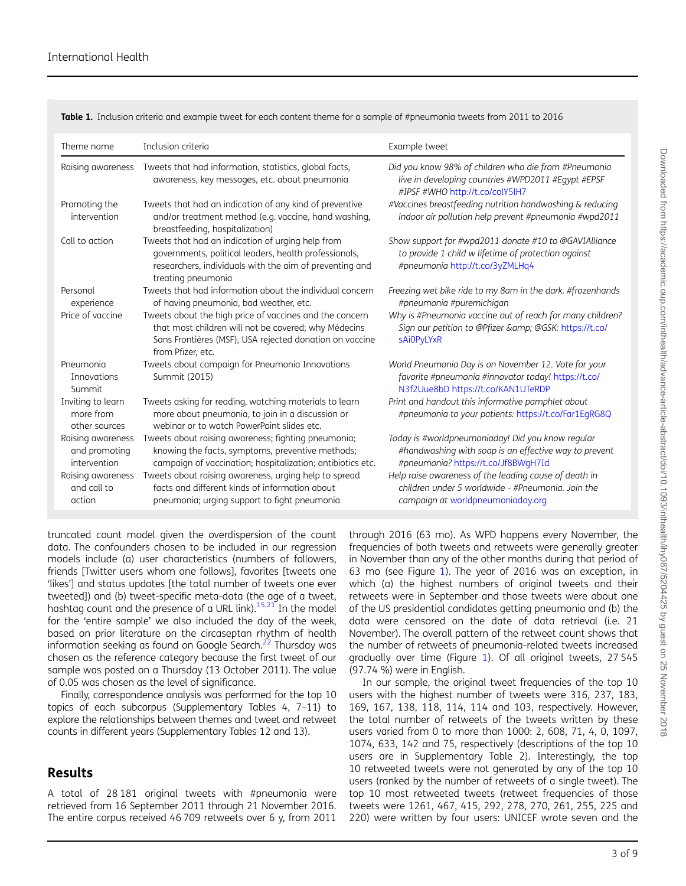<span id="page-2-0"></span>Table 1. Inclusion criteria and example tweet for each content theme for a sample of #pneumonia tweets from 2011 to 2016

| Theme name                                         | Inclusion criteria                                                                                                                                                                              | Example tweet                                                                                                                                     |
|----------------------------------------------------|-------------------------------------------------------------------------------------------------------------------------------------------------------------------------------------------------|---------------------------------------------------------------------------------------------------------------------------------------------------|
| Raising awareness                                  | Tweets that had information, statistics, global facts,<br>awareness, key messages, etc. about pneumonia                                                                                         | Did you know 98% of children who die from #Pneumonia<br>live in developing countries #WPD2011 #Eqypt #EPSF<br>#IPSF #WHO http://t.co/colY5lH7     |
| Promoting the<br>intervention                      | Tweets that had an indication of any kind of preventive<br>and/or treatment method (e.g. vaccine, hand washing,<br>breastfeeding, hospitalization)                                              | #Vaccines breastfeeding nutrition handwashing & reducing<br>indoor air pollution help prevent #pneumonia #wpd2011                                 |
| Call to action                                     | Tweets that had an indication of urging help from<br>governments, political leaders, health professionals,<br>researchers, individuals with the aim of preventing and<br>treating pneumonia     | Show support for #wpd2011 donate #10 to @GAVIAlliance<br>to provide 1 child w lifetime of protection against<br>#pneumonia http://t.co/3yZMLHq4   |
| Personal<br>experience                             | Tweets that had information about the individual concern<br>of having pneumonia, bad weather, etc.                                                                                              | Freezing wet bike ride to my 8am in the dark. #frozenhands<br>#pneumonia #puremichigan                                                            |
| Price of vaccine                                   | Tweets about the high price of vaccines and the concern<br>that most children will not be covered; why Médecins<br>Sans Frontières (MSF), USA rejected donation on vaccine<br>from Pfizer, etc. | Why is #Pneumonia vaccine out of reach for many children?<br>Sign our petition to @Pfizer & @GSK: https://t.co/<br><b>sAiOPyLYxR</b>              |
| Pneumonia<br>Innovations<br>Summit                 | Tweets about campaign for Pneumonia Innovations<br>Summit (2015)                                                                                                                                | World Pneumonia Day is on November 12. Vote for your<br>favorite #pneumonia #innovator today! https://t.co/<br>N3f2Uue8bD https://t.co/KAN1UTeRDP |
| Inviting to learn<br>more from<br>other sources    | Tweets asking for reading, watching materials to learn<br>more about pneumonia, to join in a discussion or<br>webing or to watch PowerPoint slides etc.                                         | Print and handout this informative pamphlet about<br>#pneumonia to your patients: https://t.co/Far1EqRG8Q                                         |
| Raising awareness<br>and promoting<br>intervention | Tweets about raising awareness; fighting pneumonia;<br>knowing the facts, symptoms, preventive methods;<br>campaign of vaccination; hospitalization; antibiotics etc.                           | Today is #worldpneumoniaday! Did you know regular<br>#handwashing with soap is an effective way to prevent<br>#pneumonia? https://t.co/Jf8BWqH7Id |
| Raising awareness<br>and call to<br>action         | Tweets about raising awareness, urging help to spread<br>facts and different kinds of information about<br>pneumonia; urging support to fight pneumonia                                         | Help raise awareness of the leading cause of death in<br>children under 5 worldwide - #Pneumonia, Join the<br>campaign at worldpneumoniaday.org   |
|                                                    |                                                                                                                                                                                                 |                                                                                                                                                   |

truncated count model given the overdispersion of the count data. The confounders chosen to be included in our regression models include (a) user characteristics (numbers of followers, friends [Twitter users whom one follows], favorites [tweets one 'likes'] and status updates [the total number of tweets one ever tweeted]) and (b) tweet-specific meta-data (the age of a tweet, hashtag count and the presence of a URL link).<sup>15,21</sup> In the model for the 'entire sample' we also included the day of the week, based on prior literature on the circaseptan rhythm of health information seeking as found on Google Search. $^{22}$  $^{22}$  $^{22}$  Thursday was chosen as the reference category because the first tweet of our sample was posted on a Thursday (13 October 2011). The value of 0.05 was chosen as the level of significance.

Finally, correspondence analysis was performed for the top 10 topics of each subcorpus (Supplementary Tables 4, 7–11) to explore the relationships between themes and tweet and retweet counts in different years (Supplementary Tables 12 and 13).

### Results

A total of 28 181 original tweets with #pneumonia were retrieved from 16 September 2011 through 21 November 2016. The entire corpus received 46 709 retweets over 6 y, from 2011

through 2016 (63 mo). As WPD happens every November, the frequencies of both tweets and retweets were generally greater in November than any of the other months during that period of 63 mo (see Figure [1\)](#page-3-0). The year of 2016 was an exception, in which (a) the highest numbers of original tweets and their retweets were in September and those tweets were about one of the US presidential candidates getting pneumonia and (b) the data were censored on the date of data retrieval (i.e. 21 November). The overall pattern of the retweet count shows that the number of retweets of pneumonia-related tweets increased gradually over time (Figure [1\)](#page-3-0). Of all original tweets, 27 545 (97.74 %) were in English.

In our sample, the original tweet frequencies of the top 10 users with the highest number of tweets were 316, 237, 183, 169, 167, 138, 118, 114, 114 and 103, respectively. However, the total number of retweets of the tweets written by these users varied from 0 to more than 1000: 2, 608, 71, 4, 0, 1097, 1074, 633, 142 and 75, respectively (descriptions of the top 10 users are in Supplementary Table 2). Interestingly, the top 10 retweeted tweets were not generated by any of the top 10 users (ranked by the number of retweets of a single tweet). The top 10 most retweeted tweets (retweet frequencies of those tweets were 1261, 467, 415, 292, 278, 270, 261, 255, 225 and 220) were written by four users: UNICEF wrote seven and the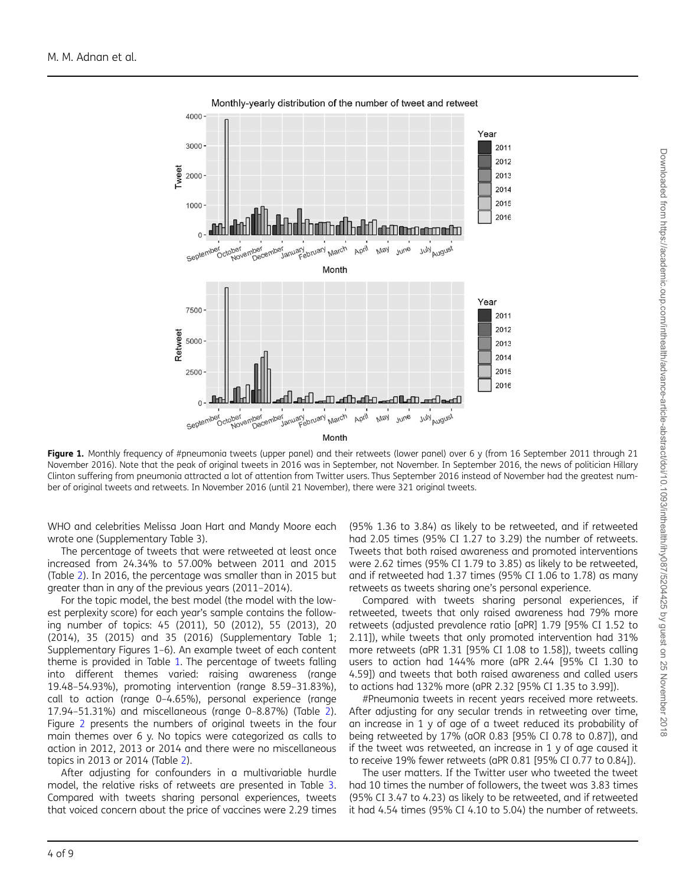<span id="page-3-0"></span>

Monthly-yearly distribution of the number of tweet and retweet

Figure 1. Monthly frequency of #pneumonia tweets (upper panel) and their retweets (lower panel) over 6 y (from 16 September 2011 through 21 November 2016). Note that the peak of original tweets in 2016 was in September, not November. In September 2016, the news of politician Hillary Clinton suffering from pneumonia attracted a lot of attention from Twitter users. Thus September 2016 instead of November had the greatest number of original tweets and retweets. In November 2016 (until 21 November), there were 321 original tweets.

WHO and celebrities Melissa Joan Hart and Mandy Moore each wrote one (Supplementary Table 3).

The percentage of tweets that were retweeted at least once increased from 24.34% to 57.00% between 2011 and 2015 (Table [2](#page-4-0)). In 2016, the percentage was smaller than in 2015 but greater than in any of the previous years (2011–2014).

For the topic model, the best model (the model with the lowest perplexity score) for each year's sample contains the following number of topics: 45 (2011), 50 (2012), 55 (2013), 20 (2014), 35 (2015) and 35 (2016) (Supplementary Table 1; Supplementary Figures 1–6). An example tweet of each content theme is provided in Table [1](#page-2-0). The percentage of tweets falling into different themes varied: raising awareness (range 19.48–54.93%), promoting intervention (range 8.59–31.83%), call to action (range 0–4.65%), personal experience (range 17.94–51.31%) and miscellaneous (range 0–8.87%) (Table [2](#page-4-0)). Figure [2](#page-4-0) presents the numbers of original tweets in the four main themes over 6 y. No topics were categorized as calls to action in 2012, 2013 or 2014 and there were no miscellaneous topics in 2013 or 2014 (Table [2\)](#page-4-0).

After adjusting for confounders in a multivariable hurdle model, the relative risks of retweets are presented in Table [3](#page-5-0). Compared with tweets sharing personal experiences, tweets that voiced concern about the price of vaccines were 2.29 times

(95% 1.36 to 3.84) as likely to be retweeted, and if retweeted had 2.05 times (95% CI 1.27 to 3.29) the number of retweets. Tweets that both raised awareness and promoted interventions were 2.62 times (95% CI 1.79 to 3.85) as likely to be retweeted, and if retweeted had 1.37 times (95% CI 1.06 to 1.78) as many retweets as tweets sharing one's personal experience.

Compared with tweets sharing personal experiences, if retweeted, tweets that only raised awareness had 79% more retweets (adjusted prevalence ratio [aPR] 1.79 [95% CI 1.52 to 2.11]), while tweets that only promoted intervention had 31% more retweets (aPR 1.31 [95% CI 1.08 to 1.58]), tweets calling users to action had 144% more (aPR 2.44 [95% CI 1.30 to 4.59]) and tweets that both raised awareness and called users to actions had 132% more (aPR 2.32 [95% CI 1.35 to 3.99]).

#Pneumonia tweets in recent years received more retweets. After adjusting for any secular trends in retweeting over time, an increase in 1 y of age of a tweet reduced its probability of being retweeted by 17% (aOR 0.83 [95% CI 0.78 to 0.87]), and if the tweet was retweeted, an increase in 1 y of age caused it to receive 19% fewer retweets (aPR 0.81 [95% CI 0.77 to 0.84]).

The user matters. If the Twitter user who tweeted the tweet had 10 times the number of followers, the tweet was 3.83 times (95% CI 3.47 to 4.23) as likely to be retweeted, and if retweeted it had 4.54 times (95% CI 4.10 to 5.04) the number of retweets.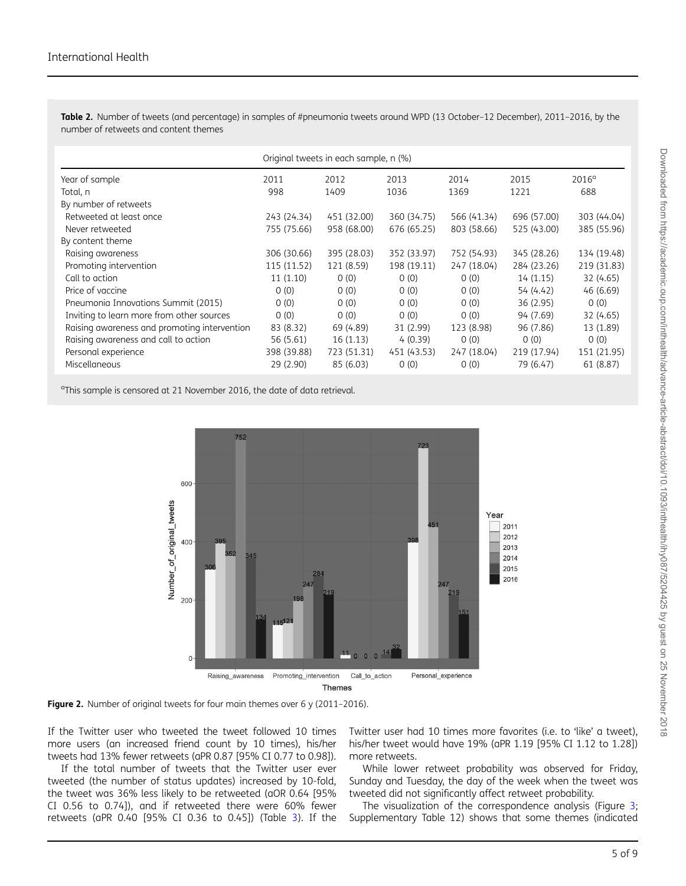<span id="page-4-0"></span>Table 2. Number of tweets (and percentage) in samples of #pneumonia tweets around WPD (13 October-12 December), 2011-2016, by the number of retweets and content themes

|                                              | Original tweets in each sample, n (%) |             |             |             |             |                |
|----------------------------------------------|---------------------------------------|-------------|-------------|-------------|-------------|----------------|
| Year of sample                               | 2011                                  | 2012        | 2013        | 2014        | 2015        | $2016^{\circ}$ |
| Total, n                                     | 998                                   | 1409        | 1036        | 1369        | 1221        | 688            |
| By number of retweets                        |                                       |             |             |             |             |                |
| Retweeted at least once                      | 243 (24.34)                           | 451 (32.00) | 360 (34.75) | 566 (41.34) | 696 (57.00) | 303 (44.04)    |
| Never retweeted                              | 755 (75.66)                           | 958 (68.00) | 676 (65.25) | 803 (58.66) | 525 (43.00) | 385 (55.96)    |
| By content theme                             |                                       |             |             |             |             |                |
| Raising awareness                            | 306 (30.66)                           | 395 (28.03) | 352 (33.97) | 752 (54.93) | 345 (28.26) | 134 (19.48)    |
| Promoting intervention                       | 115 (11.52)                           | 121 (8.59)  | 198 (19.11) | 247 (18.04) | 284 (23.26) | 219 (31.83)    |
| Call to action                               | 11(1.10)                              | 0(0)        | 0(0)        | 0(0)        | 14(1.15)    | 32 (4.65)      |
| Price of vaccine                             | (0)                                   | 0(0)        | 0(0)        | 0(0)        | 54 (4.42)   | 46 (6.69)      |
| Pneumonia Innovations Summit (2015)          | 0(0)                                  | 0(0)        | 0(0)        | 0(0)        | 36 (2.95)   | 0(0)           |
| Inviting to learn more from other sources    | 0(0)                                  | 0(0)        | 0(0)        | 0(0)        | 94 (7.69)   | 32 (4.65)      |
| Raising awareness and promoting intervention | 83 (8.32)                             | 69 (4.89)   | 31 (2.99)   | 123 (8.98)  | 96 (7.86)   | 13 (1.89)      |
| Raising awareness and call to action         | 56 (5.61)                             | 16(1.13)    | 4(0.39)     | 0(0)        | 0(0)        | 0(0)           |
| Personal experience                          | 398 (39.88)                           | 723 (51.31) | 451 (43.53) | 247 (18.04) | 219 (17.94) | 151 (21.95)    |
| Miscellaneous                                | 29 (2.90)                             | 85 (6.03)   | 0(0)        | 0(0)        | 79 (6.47)   | 61 (8.87)      |

<sup>a</sup>This sample is censored at 21 November 2016, the date of data retrieval.





If the Twitter user who tweeted the tweet followed 10 times more users (an increased friend count by 10 times), his/her tweets had 13% fewer retweets (aPR 0.87 [95% CI 0.77 to 0.98]).

If the total number of tweets that the Twitter user ever tweeted (the number of status updates) increased by 10-fold, the tweet was 36% less likely to be retweeted (aOR 0.64 [95% CI 0.56 to 0.74]), and if retweeted there were 60% fewer retweets (aPR 0.40 [95% CI 0.36 to 0.45]) (Table [3](#page-5-0)). If the Twitter user had 10 times more favorites (i.e. to 'like' a tweet), his/her tweet would have 19% (aPR 1.19 [95% CI 1.12 to 1.28]) more retweets.

While lower retweet probability was observed for Friday, Sunday and Tuesday, the day of the week when the tweet was tweeted did not significantly affect retweet probability.

The visualization of the correspondence analysis (Figure [3;](#page-6-0) Supplementary Table 12) shows that some themes (indicated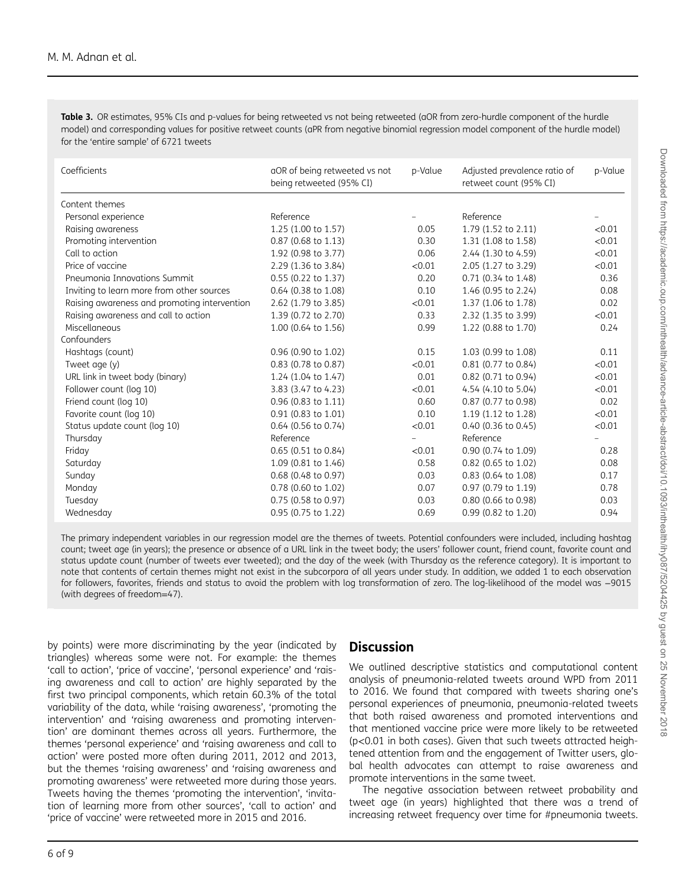<span id="page-5-0"></span>Table 3. OR estimates, 95% CIs and p-values for being retweeted vs not being retweeted (aOR from zero-hurdle component of the hurdle model) and corresponding values for positive retweet counts (aPR from negative binomial regression model component of the hurdle model) for the 'entire sample' of 6721 tweets

| Coefficients                                 | aOR of being retweeted vs not<br>p-Value<br>being retweeted (95% CI) |        | Adjusted prevalence ratio of<br>retweet count (95% CI) | p-Value |
|----------------------------------------------|----------------------------------------------------------------------|--------|--------------------------------------------------------|---------|
| Content themes                               |                                                                      |        |                                                        |         |
| Personal experience                          | Reference                                                            |        | Reference                                              |         |
| Raising awareness                            | 1.25 (1.00 to 1.57)                                                  | 0.05   | 1.79 (1.52 to 2.11)                                    | < 0.01  |
| Promoting intervention                       | $0.87$ (0.68 to 1.13)                                                | 0.30   | 1.31 (1.08 to 1.58)                                    | < 0.01  |
| Call to action                               | 1.92 (0.98 to 3.77)                                                  | 0.06   | 2.44 (1.30 to 4.59)                                    | < 0.01  |
| Price of vaccine                             | 2.29 (1.36 to 3.84)                                                  | < 0.01 | 2.05 (1.27 to 3.29)                                    | < 0.01  |
| Pneumonia Innovations Summit                 | 0.55 (0.22 to 1.37)                                                  | 0.20   | 0.71 (0.34 to 1.48)                                    | 0.36    |
| Inviting to learn more from other sources    | 0.64 (0.38 to 1.08)                                                  | 0.10   | 1.46 (0.95 to 2.24)                                    | 0.08    |
| Raising awareness and promoting intervention | 2.62 (1.79 to 3.85)                                                  | < 0.01 | 1.37 (1.06 to 1.78)                                    | 0.02    |
| Raising awareness and call to action         | 1.39 (0.72 to 2.70)                                                  | 0.33   | 2.32 (1.35 to 3.99)                                    | < 0.01  |
| Miscellaneous                                | 1.00 (0.64 to 1.56)                                                  | 0.99   | 1.22 (0.88 to 1.70)                                    | 0.24    |
| Confounders                                  |                                                                      |        |                                                        |         |
| Hashtags (count)                             | 0.96 (0.90 to 1.02)                                                  | 0.15   | 1.03 (0.99 to 1.08)                                    | 0.11    |
| Tweet age (y)                                | 0.83 (0.78 to 0.87)                                                  | < 0.01 | 0.81 (0.77 to 0.84)                                    | < 0.01  |
| URL link in tweet body (binary)              | 1.24 (1.04 to 1.47)                                                  | 0.01   | 0.82 (0.71 to 0.94)                                    | < 0.01  |
| Follower count (log 10)                      | 3.83 (3.47 to 4.23)                                                  | < 0.01 | 4.54 (4.10 to 5.04)                                    | < 0.01  |
| Friend count (log 10)                        | 0.96 (0.83 to 1.11)                                                  | 0.60   | 0.87 (0.77 to 0.98)                                    | 0.02    |
| Favorite count (log 10)                      | 0.91 (0.83 to 1.01)                                                  | 0.10   | 1.19 (1.12 to 1.28)                                    | < 0.01  |
| Status update count (log 10)                 | $0.64$ (0.56 to 0.74)                                                | < 0.01 | $0.40$ (0.36 to 0.45)                                  | < 0.01  |
| Thursday                                     | Reference                                                            |        | Reference                                              |         |
| Friday                                       | $0.65$ (0.51 to 0.84)                                                | < 0.01 | 0.90 (0.74 to 1.09)                                    | 0.28    |
| Saturday                                     | 1.09 (0.81 to 1.46)                                                  | 0.58   | 0.82 (0.65 to 1.02)                                    | 0.08    |
| Sunday                                       | 0.68 (0.48 to 0.97)                                                  | 0.03   | 0.83 (0.64 to 1.08)                                    | 0.17    |
| Monday                                       | 0.78 (0.60 to 1.02)                                                  | 0.07   | 0.97 (0.79 to 1.19)                                    | 0.78    |
| Tuesday                                      | 0.75 (0.58 to 0.97)                                                  | 0.03   | 0.80 (0.66 to 0.98)                                    | 0.03    |
| Wednesday                                    | 0.95 (0.75 to 1.22)                                                  | 0.69   | 0.99 (0.82 to 1.20)                                    | 0.94    |

The primary independent variables in our regression model are the themes of tweets. Potential confounders were included, including hashtag count; tweet age (in years); the presence or absence of a URL link in the tweet body; the users' follower count, friend count, favorite count and status update count (number of tweets ever tweeted); and the day of the week (with Thursday as the reference category). It is important to note that contents of certain themes might not exist in the subcorpora of all years under study. In addition, we added 1 to each observation for followers, favorites, friends and status to avoid the problem with log transformation of zero. The log-likelihood of the model was −9015 (with degrees of freedom=47).

by points) were more discriminating by the year (indicated by triangles) whereas some were not. For example: the themes 'call to action', 'price of vaccine', 'personal experience' and 'raising awareness and call to action' are highly separated by the first two principal components, which retain 60.3% of the total variability of the data, while 'raising awareness', 'promoting the intervention' and 'raising awareness and promoting intervention' are dominant themes across all years. Furthermore, the themes 'personal experience' and 'raising awareness and call to action' were posted more often during 2011, 2012 and 2013, but the themes 'raising awareness' and 'raising awareness and promoting awareness' were retweeted more during those years. Tweets having the themes 'promoting the intervention', 'invitation of learning more from other sources', 'call to action' and 'price of vaccine' were retweeted more in 2015 and 2016.

### **Discussion**

We outlined descriptive statistics and computational content analysis of pneumonia-related tweets around WPD from 2011 to 2016. We found that compared with tweets sharing one's personal experiences of pneumonia, pneumonia-related tweets that both raised awareness and promoted interventions and that mentioned vaccine price were more likely to be retweeted (p<0.01 in both cases). Given that such tweets attracted heightened attention from and the engagement of Twitter users, global health advocates can attempt to raise awareness and promote interventions in the same tweet.

The negative association between retweet probability and tweet age (in years) highlighted that there was a trend of increasing retweet frequency over time for #pneumonia tweets.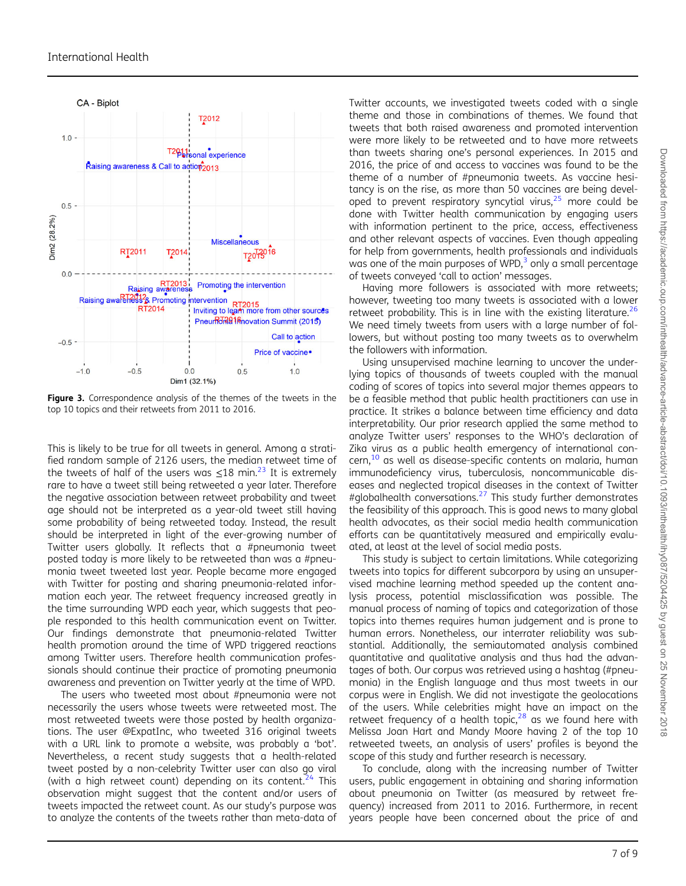<span id="page-6-0"></span>

Figure 3. Correspondence analysis of the themes of the tweets in the top 10 topics and their retweets from 2011 to 2016.

This is likely to be true for all tweets in general. Among a stratified random sample of 2126 users, the median retweet time of the tweets of half of the users was  $\leq 18$  min.<sup>[23](#page-8-0)</sup> It is extremely rare to have a tweet still being retweeted a year later. Therefore the negative association between retweet probability and tweet age should not be interpreted as a year-old tweet still having some probability of being retweeted today. Instead, the result should be interpreted in light of the ever-growing number of Twitter users globally. It reflects that a #pneumonia tweet posted today is more likely to be retweeted than was a #pneumonia tweet tweeted last year. People became more engaged with Twitter for posting and sharing pneumonia-related information each year. The retweet frequency increased greatly in the time surrounding WPD each year, which suggests that people responded to this health communication event on Twitter. Our findings demonstrate that pneumonia-related Twitter health promotion around the time of WPD triggered reactions among Twitter users. Therefore health communication professionals should continue their practice of promoting pneumonia awareness and prevention on Twitter yearly at the time of WPD.

The users who tweeted most about #pneumonia were not necessarily the users whose tweets were retweeted most. The most retweeted tweets were those posted by health organizations. The user @ExpatInc, who tweeted 316 original tweets with a URL link to promote a website, was probably a 'bot'. Nevertheless, a recent study suggests that a health-related tweet posted by a non-celebrity Twitter user can also go viral (with a high retweet count) depending on its content.<sup>[24](#page-8-0)</sup> This observation might suggest that the content and/or users of tweets impacted the retweet count. As our study's purpose was to analyze the contents of the tweets rather than meta-data of

Twitter accounts, we investigated tweets coded with a single theme and those in combinations of themes. We found that tweets that both raised awareness and promoted intervention were more likely to be retweeted and to have more retweets than tweets sharing one's personal experiences. In 2015 and 2016, the price of and access to vaccines was found to be the theme of a number of #pneumonia tweets. As vaccine hesitancy is on the rise, as more than 50 vaccines are being developed to prevent respiratory syncytial virus, $25$  more could be done with Twitter health communication by engaging users with information pertinent to the price, access, effectiveness and other relevant aspects of vaccines. Even though appealing for help from governments, health professionals and individuals was one of the main purposes of WPD, $3$  only a small percentage of tweets conveyed 'call to action' messages.

Having more followers is associated with more retweets; however, tweeting too many tweets is associated with a lower retweet probability. This is in line with the existing literature.<sup>26</sup> We need timely tweets from users with a large number of followers, but without posting too many tweets as to overwhelm the followers with information.

Using unsupervised machine learning to uncover the underlying topics of thousands of tweets coupled with the manual coding of scores of topics into several major themes appears to be a feasible method that public health practitioners can use in practice. It strikes a balance between time efficiency and data interpretability. Our prior research applied the same method to analyze Twitter users' responses to the WHO's declaration of Zika virus as a public health emergency of international con-cern,<sup>[10](#page-7-0)</sup> as well as disease-specific contents on malaria, human immunodeficiency virus, tuberculosis, noncommunicable diseases and neglected tropical diseases in the context of Twitter #globalhealth conversations.<sup>[27](#page-8-0)</sup> This study further demonstrates the feasibility of this approach. This is good news to many global health advocates, as their social media health communication efforts can be quantitatively measured and empirically evaluated, at least at the level of social media posts.

This study is subject to certain limitations. While categorizing tweets into topics for different subcorpora by using an unsupervised machine learning method speeded up the content analysis process, potential misclassification was possible. The manual process of naming of topics and categorization of those topics into themes requires human judgement and is prone to human errors. Nonetheless, our interrater reliability was substantial. Additionally, the semiautomated analysis combined quantitative and qualitative analysis and thus had the advantages of both. Our corpus was retrieved using a hashtag (#pneumonia) in the English language and thus most tweets in our corpus were in English. We did not investigate the geolocations of the users. While celebrities might have an impact on the retweet frequency of a health topic, $28$  as we found here with Melissa Joan Hart and Mandy Moore having 2 of the top 10 retweeted tweets, an analysis of users' profiles is beyond the scope of this study and further research is necessary.

To conclude, along with the increasing number of Twitter users, public engagement in obtaining and sharing information about pneumonia on Twitter (as measured by retweet frequency) increased from 2011 to 2016. Furthermore, in recent years people have been concerned about the price of and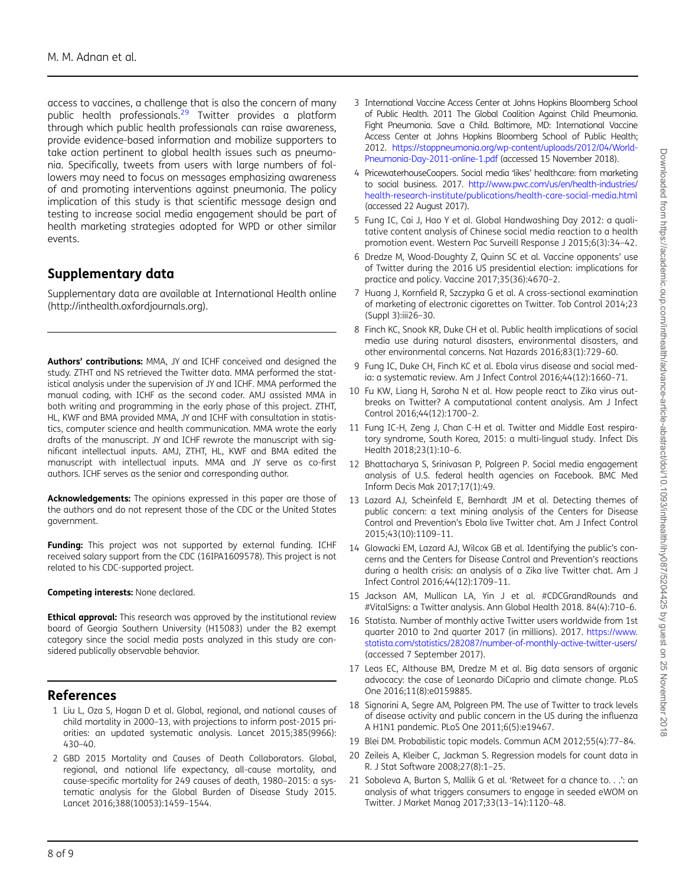<span id="page-7-0"></span>access to vaccines, a challenge that is also the concern of many public health professionals.[29](#page-8-0) Twitter provides a platform through which public health professionals can raise awareness, provide evidence-based information and mobilize supporters to take action pertinent to global health issues such as pneumonia. Specifically, tweets from users with large numbers of followers may need to focus on messages emphasizing awareness of and promoting interventions against pneumonia. The policy implication of this study is that scientific message design and testing to increase social media engagement should be part of health marketing strategies adopted for WPD or other similar events.

## Supplementary data

Supplementary data are available at International Health online (http://inthealth.oxfordjournals.org).

Authors' contributions: MMA, JY and ICHF conceived and designed the study. ZTHT and NS retrieved the Twitter data. MMA performed the statistical analysis under the supervision of JY and ICHF. MMA performed the manual coding, with ICHF as the second coder. AMJ assisted MMA in both writing and programming in the early phase of this project. ZTHT, HL, KWF and BMA provided MMA, JY and ICHF with consultation in statistics, computer science and health communication. MMA wrote the early drafts of the manuscript. JY and ICHF rewrote the manuscript with significant intellectual inputs. AMJ, ZTHT, HL, KWF and BMA edited the manuscript with intellectual inputs. MMA and JY serve as co-first authors. ICHF serves as the senior and corresponding author.

Acknowledgements: The opinions expressed in this paper are those of the authors and do not represent those of the CDC or the United States government.

Funding: This project was not supported by external funding. ICHF received salary support from the CDC (16IPA1609578). This project is not related to his CDC-supported project.

Competing interests: None declared.

**Ethical approval:** This research was approved by the institutional review board of Georgia Southern University (H15083) under the B2 exempt category since the social media posts analyzed in this study are considered publically observable behavior.

### References

- 1 Liu L, Oza S, Hogan D et al. Global, regional, and national causes of child mortality in 2000–13, with projections to inform post-2015 priorities: an updated systematic analysis. Lancet 2015;385(9966): 430–40.
- 2 GBD 2015 Mortality and Causes of Death Collaborators. Global, regional, and national life expectancy, all-cause mortality, and cause-specific mortality for 249 causes of death, 1980–2015: a systematic analysis for the Global Burden of Disease Study 2015. Lancet 2016;388(10053):1459–1544.
- 3 International Vaccine Access Center at Johns Hopkins Bloomberg School of Public Health. 2011 The Global Coalition Against Child Pneumonia. Fight Pneumonia. Save a Child. Baltimore, MD: International Vaccine Access Center at Johns Hopkins Bloomberg School of Public Health; 2012. [https://stoppneumonia.org/wp-content/uploads/2012/04/World-](https://stoppneumonia.org/wp-content/uploads/2012/04/World-Pneumonia-Day-2011-online-1.pdf)[Pneumonia-Day-2011-online-1.pdf](https://stoppneumonia.org/wp-content/uploads/2012/04/World-Pneumonia-Day-2011-online-1.pdf) (accessed 15 November 2018).
- 4 PricewaterhouseCoopers. Social media 'likes' healthcare: from marketing to social business. 2017. [http://www.pwc.com/us/en/health-industries/](http://www.pwc.com/us/en/health-industries/health-research-institute/publications/health-care-social-media.html) [health-research-institute/publications/health-care-social-media.html](http://www.pwc.com/us/en/health-industries/health-research-institute/publications/health-care-social-media.html) (accessed 22 August 2017).
- 5 Fung IC, Cai J, Hao Y et al. Global Handwashing Day 2012: a qualitative content analysis of Chinese social media reaction to a health promotion event. Western Pac Surveill Response J 2015;6(3):34–42.
- 6 Dredze M, Wood-Doughty Z, Quinn SC et al. Vaccine opponents' use of Twitter during the 2016 US presidential election: implications for practice and policy. Vaccine 2017;35(36):4670–2.
- 7 Huang J, Kornfield R, Szczypka G et al. A cross-sectional examination of marketing of electronic cigarettes on Twitter. Tob Control 2014;23 (Suppl 3):iii26–30.
- 8 Finch KC, Snook KR, Duke CH et al. Public health implications of social media use during natural disasters, environmental disasters, and other environmental concerns. Nat Hazards 2016;83(1):729–60.
- 9 Fung IC, Duke CH, Finch KC et al. Ebola virus disease and social media: a systematic review. Am J Infect Control 2016;44(12):1660–71.
- 10 Fu KW, Liang H, Saroha N et al. How people react to Zika virus outbreaks on Twitter? A computational content analysis. Am J Infect Control 2016;44(12):1700–2.
- 11 Fung IC-H, Zeng J, Chan C-H et al. Twitter and Middle East respiratory syndrome, South Korea, 2015: a multi-lingual study. Infect Dis Health 2018;23(1):10–6.
- 12 Bhattacharya S, Srinivasan P, Polgreen P. Social media engagement analysis of U.S. federal health agencies on Facebook. BMC Med Inform Decis Mak 2017;17(1):49.
- 13 Lazard AJ, Scheinfeld E, Bernhardt JM et al. Detecting themes of public concern: a text mining analysis of the Centers for Disease Control and Prevention's Ebola live Twitter chat. Am J Infect Control 2015;43(10):1109–11.
- 14 Glowacki EM, Lazard AJ, Wilcox GB et al. Identifying the public's concerns and the Centers for Disease Control and Prevention's reactions during a health crisis: an analysis of a Zika live Twitter chat. Am J Infect Control 2016;44(12):1709–11.
- 15 Jackson AM, Mullican LA, Yin J et al. #CDCGrandRounds and #VitalSigns: a Twitter analysis. Ann Global Health 2018. 84(4):710–6.
- 16 Statista. Number of monthly active Twitter users worldwide from 1st quarter 2010 to 2nd quarter 2017 (in millions). 2017. [https://www.](https://www.statista.com/statistics/282087/number-of-monthly-active-twitter-users/) [statista.com/statistics/282087/number-of-monthly-active-twitter-users/](https://www.statista.com/statistics/282087/number-of-monthly-active-twitter-users/) (accessed 7 September 2017).
- 17 Leas EC, Althouse BM, Dredze M et al. Big data sensors of organic advocacy: the case of Leonardo DiCaprio and climate change. PLoS One 2016;11(8):e0159885.
- 18 Signorini A, Segre AM, Polgreen PM. The use of Twitter to track levels of disease activity and public concern in the US during the influenza A H1N1 pandemic. PLoS One 2011;6(5):e19467.
- 19 Blei DM. Probabilistic topic models. Commun ACM 2012;55(4):77–84.
- 20 Zeileis A, Kleiber C, Jackman S. Regression models for count data in R. J Stat Software 2008;27(8):1–25.
- 21 Soboleva A, Burton S, Mallik G et al. 'Retweet for a chance to. . .': an analysis of what triggers consumers to engage in seeded eWOM on Twitter. J Market Manag 2017;33(13–14):1120–48.